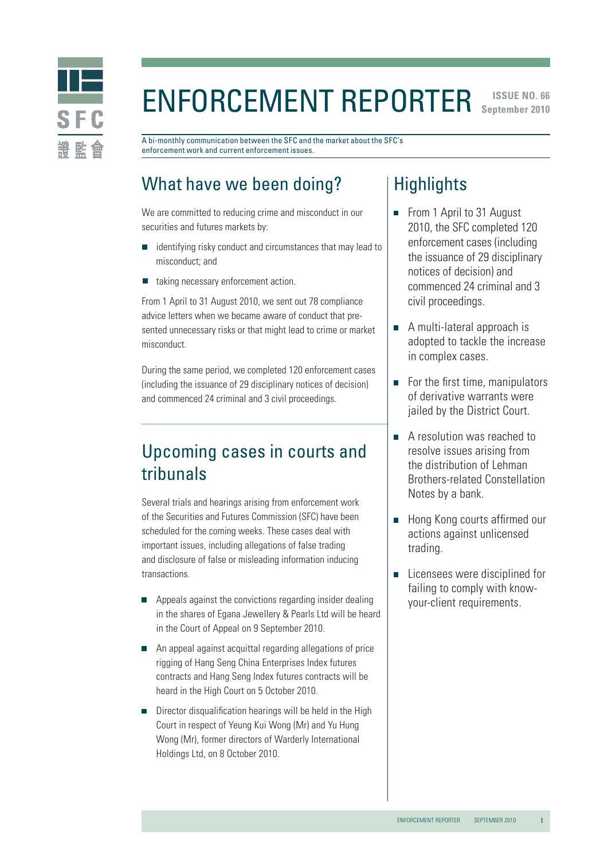

### ENFORCEMENT REPORTER September 2010 **September 2010**

A bi-monthly communication between the SFC and the market about the SFC's enforcement work and current enforcement issues.

# What have we been doing?

We are committed to reducing crime and misconduct in our securities and futures markets by:

- identifying risky conduct and circumstances that may lead to misconduct; and
- taking necessary enforcement action.

From 1 April to 31 August 2010, we sent out 78 compliance advice letters when we became aware of conduct that presented unnecessary risks or that might lead to crime or market misconduct.

During the same period, we completed 120 enforcement cases (including the issuance of 29 disciplinary notices of decision) and commenced 24 criminal and 3 civil proceedings.

## Upcoming cases in courts and tribunals

Several trials and hearings arising from enforcement work of the Securities and Futures Commission (SFC) have been scheduled for the coming weeks. These cases deal with important issues, including allegations of false trading and disclosure of false or misleading information inducing transactions.

- $\blacksquare$  Appeals against the convictions regarding insider dealing in the shares of Egana Jewellery & Pearls Ltd will be heard in the Court of Appeal on 9 September 2010.
- An appeal against acquittal regarding allegations of price rigging of Hang Seng China Enterprises Index futures contracts and Hang Seng Index futures contracts will be heard in the High Court on 5 October 2010.
- $\blacksquare$  Director disqualification hearings will be held in the High Court in respect of Yeung Kui Wong (Mr) and Yu Hung Wong (Mr), former directors of Warderly International Holdings Ltd, on 8 October 2010.

## **Highlights**

- From 1 April to 31 August 2010, the SFC completed 120 enforcement cases (including the issuance of 29 disciplinary notices of decision) and commenced 24 criminal and 3 civil proceedings.
- A multi-lateral approach is adopted to tackle the increase in complex cases.
- For the first time, manipulators of derivative warrants were jailed by the District Court.
- A resolution was reached to resolve issues arising from the distribution of Lehman Brothers-related Constellation Notes by a bank.
- **Hong Kong courts affirmed our** actions against unlicensed trading.
- Licensees were disciplined for  $\overline{\phantom{a}}$ failing to comply with knowyour-client requirements.

1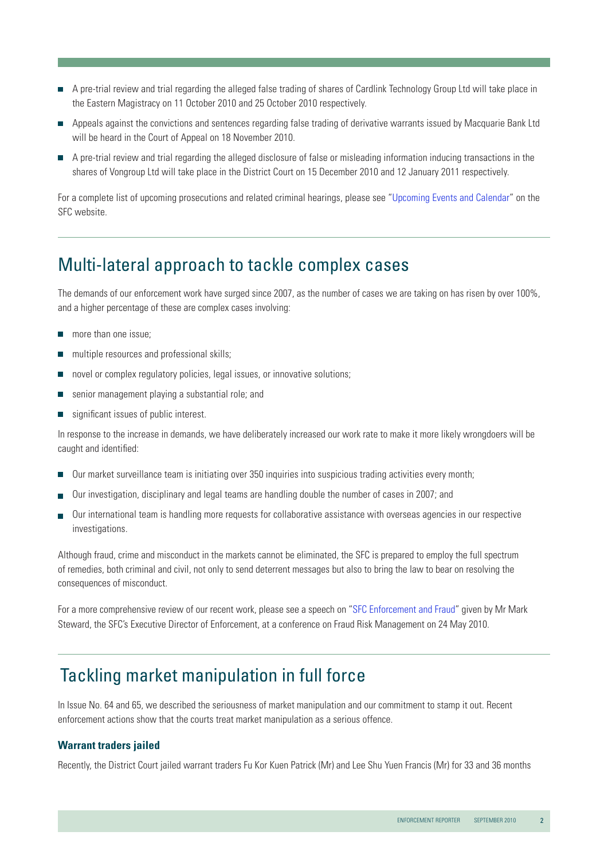- A pre-trial review and trial regarding the alleged false trading of shares of Cardlink Technology Group Ltd will take place in the Eastern Magistracy on 11 October 2010 and 25 October 2010 respectively.
- Appeals against the convictions and sentences regarding false trading of derivative warrants issued by Macquarie Bank Ltd will be heard in the Court of Appeal on 18 November 2010.
- A pre-trial review and trial regarding the alleged disclosure of false or misleading information inducing transactions in the shares of Vongroup Ltd will take place in the District Court on 15 December 2010 and 12 January 2011 respectively.

For a complete list of upcoming prosecutions and related criminal hearings, please see ["Upcoming Events and Calendar](http://www.sfc.hk/sfc/html/EN/events/prosecutions/prosecutions.html)" on the SFC website.

## Multi-lateral approach to tackle complex cases

The demands of our enforcement work have surged since 2007, as the number of cases we are taking on has risen by over 100%, and a higher percentage of these are complex cases involving:

- more than one issue; П
- multiple resources and professional skills; П
- novel or complex regulatory policies, legal issues, or innovative solutions;
- senior management playing a substantial role; and
- significant issues of public interest.

In response to the increase in demands, we have deliberately increased our work rate to make it more likely wrongdoers will be caught and identified:

- Our market surveillance team is initiating over 350 inquiries into suspicious trading activities every month;
- Our investigation, disciplinary and legal teams are handling double the number of cases in 2007; and
- Our international team is handling more requests for collaborative assistance with overseas agencies in our respective investigations.

Although fraud, crime and misconduct in the markets cannot be eliminated, the SFC is prepared to employ the full spectrum of remedies, both criminal and civil, not only to send deterrent messages but also to bring the law to bear on resolving the consequences of misconduct.

For a more comprehensive review of our recent work, please see a speech on ["SFC Enforcement and Fraud"](http://www.sfc.hk/sfc/doc/EN/speeches/speeches/10/Mark_20100524.pdf) given by Mr Mark Steward, the SFC's Executive Director of Enforcement, at a conference on Fraud Risk Management on 24 May 2010.

### Tackling market manipulation in full force

In Issue No. 64 and 65, we described the seriousness of market manipulation and our commitment to stamp it out. Recent enforcement actions show that the courts treat market manipulation as a serious offence.

#### **Warrant traders jailed**

Recently, the District Court jailed warrant traders Fu Kor Kuen Patrick (Mr) and Lee Shu Yuen Francis (Mr) for 33 and 36 months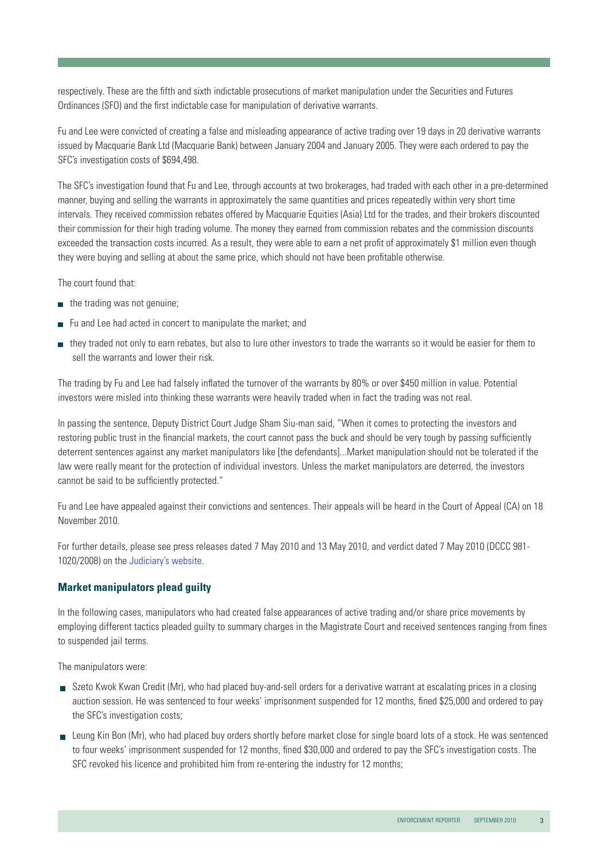respectively. These are the fifth and sixth indictable prosecutions of market manipulation under the Securities and Futures Ordinances (SFO) and the first indictable case for manipulation of derivative warrants.

Fu and Lee were convicted of creating a false and misleading appearance of active trading over 19 days in 20 derivative warrants issued by Macquarie Bank Ltd (Macquarie Bank) between January 2004 and January 2005. They were each ordered to pay the SFC's investigation costs of \$694,498.

The SFC's investigation found that Fu and Lee, through accounts at two brokerages, had traded with each other in a pre-determined manner, buying and selling the warrants in approximately the same quantities and prices repeatedly within very short time intervals. They received commission rebates offered by Macquarie Equities (Asia) Ltd for the trades, and their brokers discounted their commission for their high trading volume. The money they earned from commission rebates and the commission discounts exceeded the transaction costs incurred. As a result, they were able to earn a net profit of approximately \$1 million even though they were buying and selling at about the same price, which should not have been profitable otherwise.

The court found that:

- $\blacksquare$  the trading was not genuine;
- $\blacksquare$  Fu and Lee had acted in concert to manipulate the market; and
- they traded not only to earn rebates, but also to lure other investors to trade the warrants so it would be easier for them to sell the warrants and lower their risk.

The trading by Fu and Lee had falsely inflated the turnover of the warrants by 80% or over \$450 million in value. Potential investors were misled into thinking these warrants were heavily traded when in fact the trading was not real.

In passing the sentence, Deputy District Court Judge Sham Siu-man said, "When it comes to protecting the investors and restoring public trust in the financial markets, the court cannot pass the buck and should be very tough by passing sufficiently deterrent sentences against any market manipulators like [the defendants]...Market manipulation should not be tolerated if the law were really meant for the protection of individual investors. Unless the market manipulators are deterred, the investors cannot be said to be sufficiently protected."

Fu and Lee have appealed against their convictions and sentences. Their appeals will be heard in the Court of Appeal (CA) on 18 November 2010.

For further details, please see press releases dated 7 May 2010 and 13 May 2010, and verdict dated 7 May 2010 (DCCC 981- 1020/2008) on the [Judiciary's website.](http://www.judiciary.gov.hk/en/index/index.htm)

#### **Market manipulators plead guilty**

In the following cases, manipulators who had created false appearances of active trading and/or share price movements by employing different tactics pleaded guilty to summary charges in the Magistrate Court and received sentences ranging from fines to suspended jail terms.

The manipulators were:

- Szeto Kwok Kwan Credit (Mr), who had placed buy-and-sell orders for a derivative warrant at escalating prices in a closing auction session. He was sentenced to four weeks' imprisonment suspended for 12 months, fined \$25,000 and ordered to pay the SFC's investigation costs;
- Leung Kin Bon (Mr), who had placed buy orders shortly before market close for single board lots of a stock. He was sentenced to four weeks' imprisonment suspended for 12 months, fined \$30,000 and ordered to pay the SFC's investigation costs. The SFC revoked his licence and prohibited him from re-entering the industry for 12 months;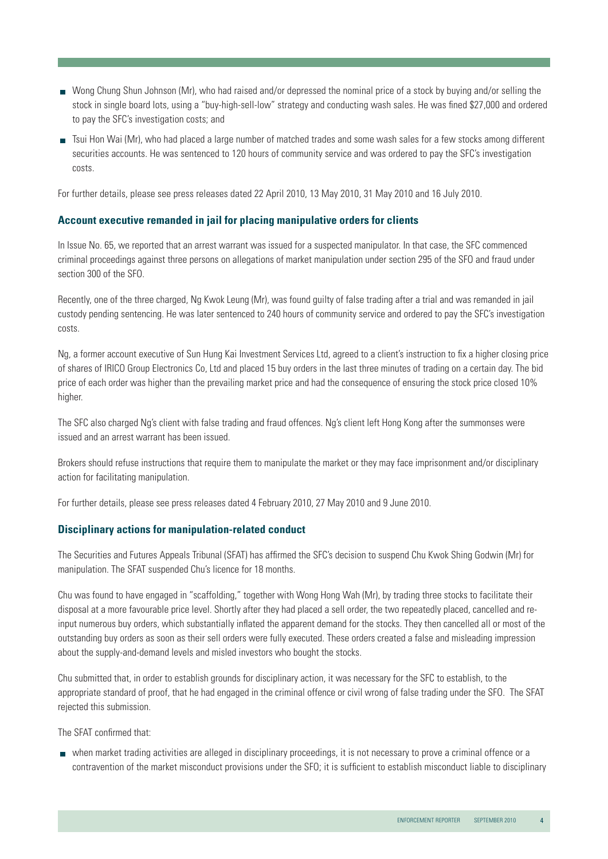- Wong Chung Shun Johnson (Mr), who had raised and/or depressed the nominal price of a stock by buying and/or selling the stock in single board lots, using a "buy-high-sell-low" strategy and conducting wash sales. He was fined \$27,000 and ordered to pay the SFC's investigation costs; and
- Tsui Hon Wai (Mr), who had placed a large number of matched trades and some wash sales for a few stocks among different securities accounts. He was sentenced to 120 hours of community service and was ordered to pay the SFC's investigation costs.

For further details, please see press releases dated 22 April 2010, 13 May 2010, 31 May 2010 and 16 July 2010.

#### **Account executive remanded in jail for placing manipulative orders for clients**

In Issue No. 65, we reported that an arrest warrant was issued for a suspected manipulator. In that case, the SFC commenced criminal proceedings against three persons on allegations of market manipulation under section 295 of the SFO and fraud under section 300 of the SFO.

Recently, one of the three charged, Ng Kwok Leung (Mr), was found guilty of false trading after a trial and was remanded in jail custody pending sentencing. He was later sentenced to 240 hours of community service and ordered to pay the SFC's investigation costs.

Ng, a former account executive of Sun Hung Kai Investment Services Ltd, agreed to a client's instruction to fix a higher closing price of shares of IRICO Group Electronics Co, Ltd and placed 15 buy orders in the last three minutes of trading on a certain day. The bid price of each order was higher than the prevailing market price and had the consequence of ensuring the stock price closed 10% higher.

The SFC also charged Ng's client with false trading and fraud offences. Ng's client left Hong Kong after the summonses were issued and an arrest warrant has been issued.

Brokers should refuse instructions that require them to manipulate the market or they may face imprisonment and/or disciplinary action for facilitating manipulation.

For further details, please see press releases dated 4 February 2010, 27 May 2010 and 9 June 2010.

#### **Disciplinary actions for manipulation-related conduct**

The Securities and Futures Appeals Tribunal (SFAT) has affirmed the SFC's decision to suspend Chu Kwok Shing Godwin (Mr) for manipulation. The SFAT suspended Chu's licence for 18 months.

Chu was found to have engaged in "scaffolding," together with Wong Hong Wah (Mr), by trading three stocks to facilitate their disposal at a more favourable price level. Shortly after they had placed a sell order, the two repeatedly placed, cancelled and reinput numerous buy orders, which substantially inflated the apparent demand for the stocks. They then cancelled all or most of the outstanding buy orders as soon as their sell orders were fully executed. These orders created a false and misleading impression about the supply-and-demand levels and misled investors who bought the stocks.

Chu submitted that, in order to establish grounds for disciplinary action, it was necessary for the SFC to establish, to the appropriate standard of proof, that he had engaged in the criminal offence or civil wrong of false trading under the SFO. The SFAT rejected this submission.

The SFAT confirmed that:

 when market trading activities are alleged in disciplinary proceedings, it is not necessary to prove a criminal offence or a contravention of the market misconduct provisions under the SFO; it is sufficient to establish misconduct liable to disciplinary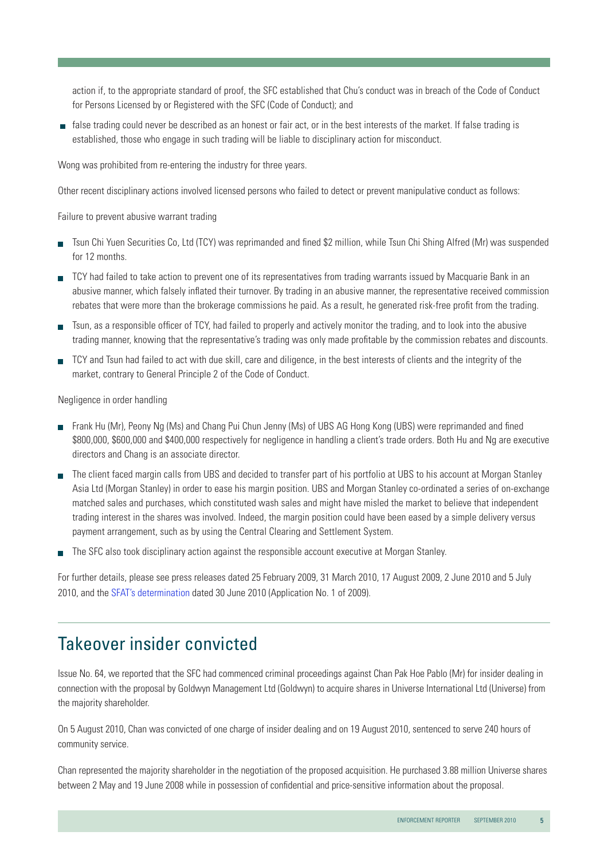action if, to the appropriate standard of proof, the SFC established that Chu's conduct was in breach of the Code of Conduct for Persons Licensed by or Registered with the SFC (Code of Conduct); and

 false trading could never be described as an honest or fair act, or in the best interests of the market. If false trading is established, those who engage in such trading will be liable to disciplinary action for misconduct.

Wong was prohibited from re-entering the industry for three years.

Other recent disciplinary actions involved licensed persons who failed to detect or prevent manipulative conduct as follows:

Failure to prevent abusive warrant trading

- Tsun Chi Yuen Securities Co, Ltd (TCY) was reprimanded and fined \$2 million, while Tsun Chi Shing Alfred (Mr) was suspended for 12 months.
- TCY had failed to take action to prevent one of its representatives from trading warrants issued by Macquarie Bank in an abusive manner, which falsely inflated their turnover. By trading in an abusive manner, the representative received commission rebates that were more than the brokerage commissions he paid. As a result, he generated risk-free profit from the trading.
- Tsun, as a responsible officer of TCY, had failed to properly and actively monitor the trading, and to look into the abusive trading manner, knowing that the representative's trading was only made profitable by the commission rebates and discounts.
- TCY and Tsun had failed to act with due skill, care and diligence, in the best interests of clients and the integrity of the market, contrary to General Principle 2 of the Code of Conduct.

Negligence in order handling

- Frank Hu (Mr), Peony Ng (Ms) and Chang Pui Chun Jenny (Ms) of UBS AG Hong Kong (UBS) were reprimanded and fined \$800,000, \$600,000 and \$400,000 respectively for negligence in handling a client's trade orders. Both Hu and Ng are executive directors and Chang is an associate director.
- The client faced margin calls from UBS and decided to transfer part of his portfolio at UBS to his account at Morgan Stanley Asia Ltd (Morgan Stanley) in order to ease his margin position. UBS and Morgan Stanley co-ordinated a series of on-exchange matched sales and purchases, which constituted wash sales and might have misled the market to believe that independent trading interest in the shares was involved. Indeed, the margin position could have been eased by a simple delivery versus payment arrangement, such as by using the Central Clearing and Settlement System.
- The SFC also took disciplinary action against the responsible account executive at Morgan Stanley.

For further details, please see press releases dated 25 February 2009, 31 March 2010, 17 August 2009, 2 June 2010 and 5 July 2010, and the [SFAT's determination](http://www.sfat.gov.hk/english/determination/index-2009.htm) dated 30 June 2010 (Application No. 1 of 2009).

### Takeover insider convicted

Issue No. 64, we reported that the SFC had commenced criminal proceedings against Chan Pak Hoe Pablo (Mr) for insider dealing in connection with the proposal by Goldwyn Management Ltd (Goldwyn) to acquire shares in Universe International Ltd (Universe) from the majority shareholder.

On 5 August 2010, Chan was convicted of one charge of insider dealing and on 19 August 2010, sentenced to serve 240 hours of community service.

Chan represented the majority shareholder in the negotiation of the proposed acquisition. He purchased 3.88 million Universe shares between 2 May and 19 June 2008 while in possession of confidential and price-sensitive information about the proposal.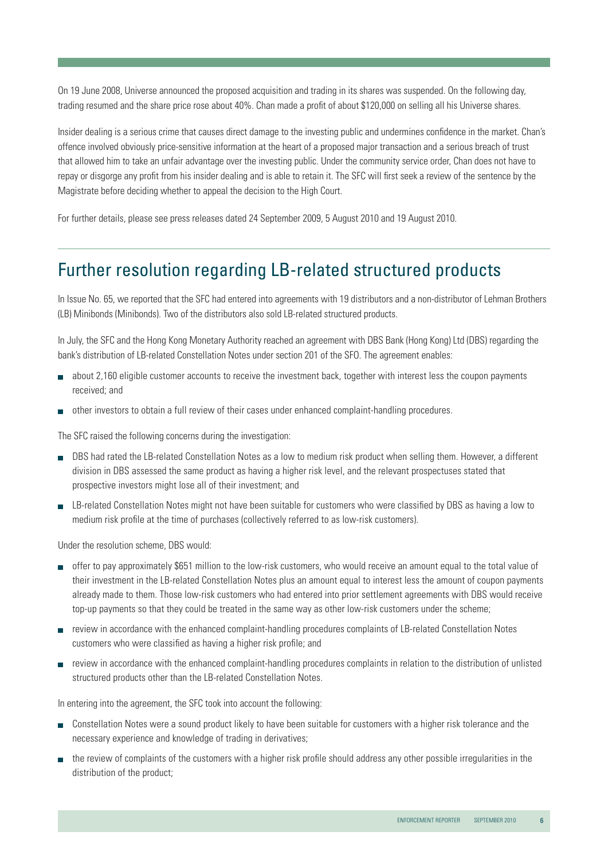On 19 June 2008, Universe announced the proposed acquisition and trading in its shares was suspended. On the following day, trading resumed and the share price rose about 40%. Chan made a profit of about \$120,000 on selling all his Universe shares.

Insider dealing is a serious crime that causes direct damage to the investing public and undermines confidence in the market. Chan's offence involved obviously price-sensitive information at the heart of a proposed major transaction and a serious breach of trust that allowed him to take an unfair advantage over the investing public. Under the community service order, Chan does not have to repay or disgorge any profit from his insider dealing and is able to retain it. The SFC will first seek a review of the sentence by the Magistrate before deciding whether to appeal the decision to the High Court.

For further details, please see press releases dated 24 September 2009, 5 August 2010 and 19 August 2010.

## Further resolution regarding LB-related structured products

In Issue No. 65, we reported that the SFC had entered into agreements with 19 distributors and a non-distributor of Lehman Brothers (LB) Minibonds (Minibonds). Two of the distributors also sold LB-related structured products.

In July, the SFC and the Hong Kong Monetary Authority reached an agreement with DBS Bank (Hong Kong) Ltd (DBS) regarding the bank's distribution of LB-related Constellation Notes under section 201 of the SFO. The agreement enables:

- about 2,160 eligible customer accounts to receive the investment back, together with interest less the coupon payments received; and
- other investors to obtain a full review of their cases under enhanced complaint-handling procedures.

The SFC raised the following concerns during the investigation:

- DBS had rated the LB-related Constellation Notes as a low to medium risk product when selling them. However, a different division in DBS assessed the same product as having a higher risk level, and the relevant prospectuses stated that prospective investors might lose all of their investment; and
- LB-related Constellation Notes might not have been suitable for customers who were classified by DBS as having a low to medium risk profile at the time of purchases (collectively referred to as low-risk customers).

Under the resolution scheme, DBS would:

- offer to pay approximately \$651 million to the low-risk customers, who would receive an amount equal to the total value of their investment in the LB-related Constellation Notes plus an amount equal to interest less the amount of coupon payments already made to them. Those low-risk customers who had entered into prior settlement agreements with DBS would receive top-up payments so that they could be treated in the same way as other low-risk customers under the scheme;
- review in accordance with the enhanced complaint-handling procedures complaints of LB-related Constellation Notes customers who were classified as having a higher risk profile; and
- review in accordance with the enhanced complaint-handling procedures complaints in relation to the distribution of unlisted structured products other than the LB-related Constellation Notes.

In entering into the agreement, the SFC took into account the following:

- Constellation Notes were a sound product likely to have been suitable for customers with a higher risk tolerance and the necessary experience and knowledge of trading in derivatives;
- the review of complaints of the customers with a higher risk profile should address any other possible irregularities in the distribution of the product;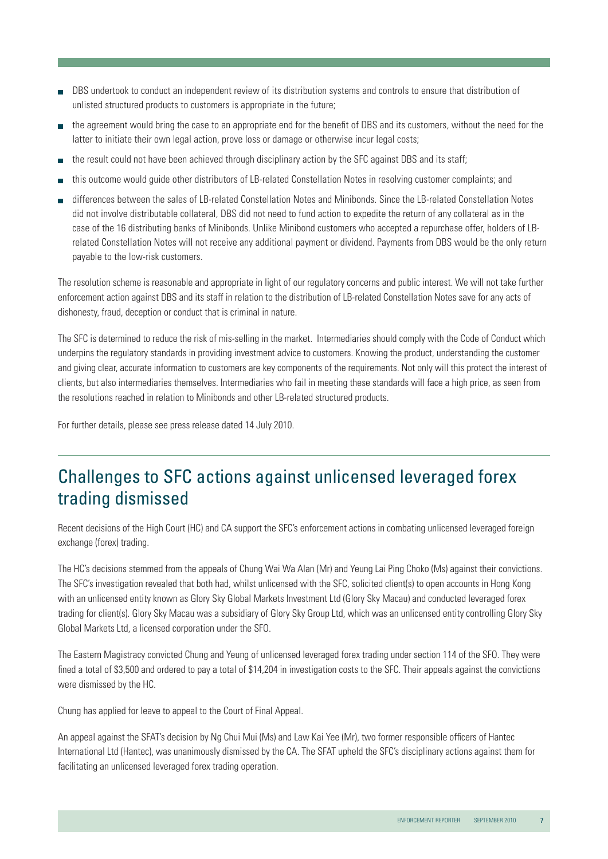- DBS undertook to conduct an independent review of its distribution systems and controls to ensure that distribution of unlisted structured products to customers is appropriate in the future;
- the agreement would bring the case to an appropriate end for the benefit of DBS and its customers, without the need for the latter to initiate their own legal action, prove loss or damage or otherwise incur legal costs;
- the result could not have been achieved through disciplinary action by the SFC against DBS and its staff;
- this outcome would guide other distributors of LB-related Constellation Notes in resolving customer complaints; and
- differences between the sales of LB-related Constellation Notes and Minibonds. Since the LB-related Constellation Notes did not involve distributable collateral, DBS did not need to fund action to expedite the return of any collateral as in the case of the 16 distributing banks of Minibonds. Unlike Minibond customers who accepted a repurchase offer, holders of LBrelated Constellation Notes will not receive any additional payment or dividend. Payments from DBS would be the only return payable to the low-risk customers.

The resolution scheme is reasonable and appropriate in light of our regulatory concerns and public interest. We will not take further enforcement action against DBS and its staff in relation to the distribution of LB-related Constellation Notes save for any acts of dishonesty, fraud, deception or conduct that is criminal in nature.

The SFC is determined to reduce the risk of mis-selling in the market. Intermediaries should comply with the Code of Conduct which underpins the regulatory standards in providing investment advice to customers. Knowing the product, understanding the customer and giving clear, accurate information to customers are key components of the requirements. Not only will this protect the interest of clients, but also intermediaries themselves. Intermediaries who fail in meeting these standards will face a high price, as seen from the resolutions reached in relation to Minibonds and other LB-related structured products.

For further details, please see press release dated 14 July 2010.

## Challenges to SFC actions against unlicensed leveraged forex trading dismissed

Recent decisions of the High Court (HC) and CA support the SFC's enforcement actions in combating unlicensed leveraged foreign exchange (forex) trading.

The HC's decisions stemmed from the appeals of Chung Wai Wa Alan (Mr) and Yeung Lai Ping Choko (Ms) against their convictions. The SFC's investigation revealed that both had, whilst unlicensed with the SFC, solicited client(s) to open accounts in Hong Kong with an unlicensed entity known as Glory Sky Global Markets Investment Ltd (Glory Sky Macau) and conducted leveraged forex trading for client(s). Glory Sky Macau was a subsidiary of Glory Sky Group Ltd, which was an unlicensed entity controlling Glory Sky Global Markets Ltd, a licensed corporation under the SFO.

The Eastern Magistracy convicted Chung and Yeung of unlicensed leveraged forex trading under section 114 of the SFO. They were fined a total of \$3,500 and ordered to pay a total of \$14,204 in investigation costs to the SFC. Their appeals against the convictions were dismissed by the HC.

Chung has applied for leave to appeal to the Court of Final Appeal.

An appeal against the SFAT's decision by Ng Chui Mui (Ms) and Law Kai Yee (Mr), two former responsible officers of Hantec International Ltd (Hantec), was unanimously dismissed by the CA. The SFAT upheld the SFC's disciplinary actions against them for facilitating an unlicensed leveraged forex trading operation.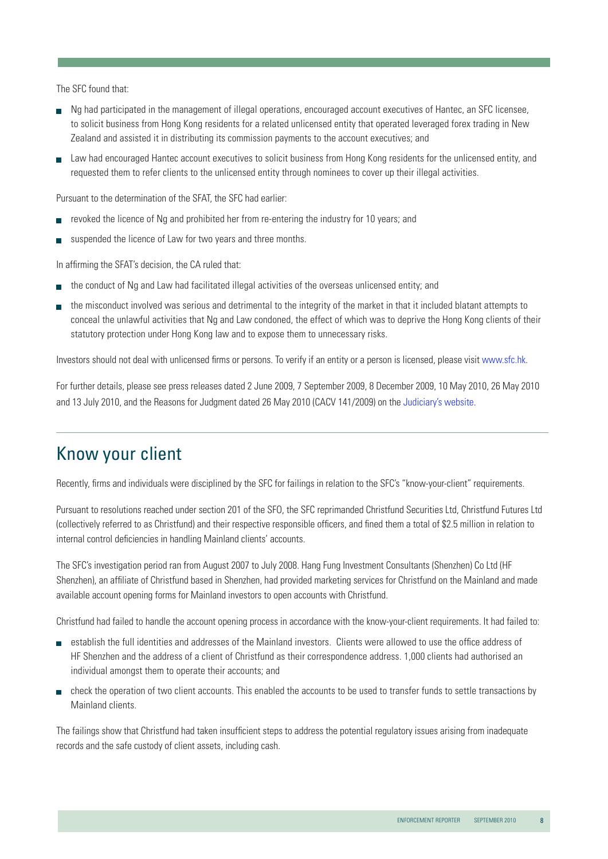The SFC found that:

- Ng had participated in the management of illegal operations, encouraged account executives of Hantec, an SFC licensee, to solicit business from Hong Kong residents for a related unlicensed entity that operated leveraged forex trading in New Zealand and assisted it in distributing its commission payments to the account executives; and
- Law had encouraged Hantec account executives to solicit business from Hong Kong residents for the unlicensed entity, and requested them to refer clients to the unlicensed entity through nominees to cover up their illegal activities.

Pursuant to the determination of the SFAT, the SFC had earlier:

- revoked the licence of Ng and prohibited her from re-entering the industry for 10 years; and
- suspended the licence of Law for two years and three months.

In affirming the SFAT's decision, the CA ruled that:

- the conduct of Ng and Law had facilitated illegal activities of the overseas unlicensed entity; and
- the misconduct involved was serious and detrimental to the integrity of the market in that it included blatant attempts to conceal the unlawful activities that Ng and Law condoned, the effect of which was to deprive the Hong Kong clients of their statutory protection under Hong Kong law and to expose them to unnecessary risks.

Investors should not deal with unlicensed firms or persons. To verify if an entity or a person is licensed, please visit [www.sfc.hk.](http://www.sfc.hk/sfc/html/EN/)

For further details, please see press releases dated 2 June 2009, 7 September 2009, 8 December 2009, 10 May 2010, 26 May 2010 and 13 July 2010, and the Reasons for Judgment dated 26 May 2010 (CACV 141/2009) on the [Judiciary's website](http://www.judiciary.gov.hk/en/index/index.htm).

## Know your client

Recently, firms and individuals were disciplined by the SFC for failings in relation to the SFC's "know-your-client" requirements.

Pursuant to resolutions reached under section 201 of the SFO, the SFC reprimanded Christfund Securities Ltd, Christfund Futures Ltd (collectively referred to as Christfund) and their respective responsible officers, and fined them a total of \$2.5 million in relation to internal control deficiencies in handling Mainland clients' accounts.

The SFC's investigation period ran from August 2007 to July 2008. Hang Fung Investment Consultants (Shenzhen) Co Ltd (HF Shenzhen), an affiliate of Christfund based in Shenzhen, had provided marketing services for Christfund on the Mainland and made available account opening forms for Mainland investors to open accounts with Christfund.

Christfund had failed to handle the account opening process in accordance with the know-your-client requirements. It had failed to:

- establish the full identities and addresses of the Mainland investors. Clients were allowed to use the office address of HF Shenzhen and the address of a client of Christfund as their correspondence address. 1,000 clients had authorised an individual amongst them to operate their accounts; and
- check the operation of two client accounts. This enabled the accounts to be used to transfer funds to settle transactions by Mainland clients.

The failings show that Christfund had taken insufficient steps to address the potential regulatory issues arising from inadequate records and the safe custody of client assets, including cash.